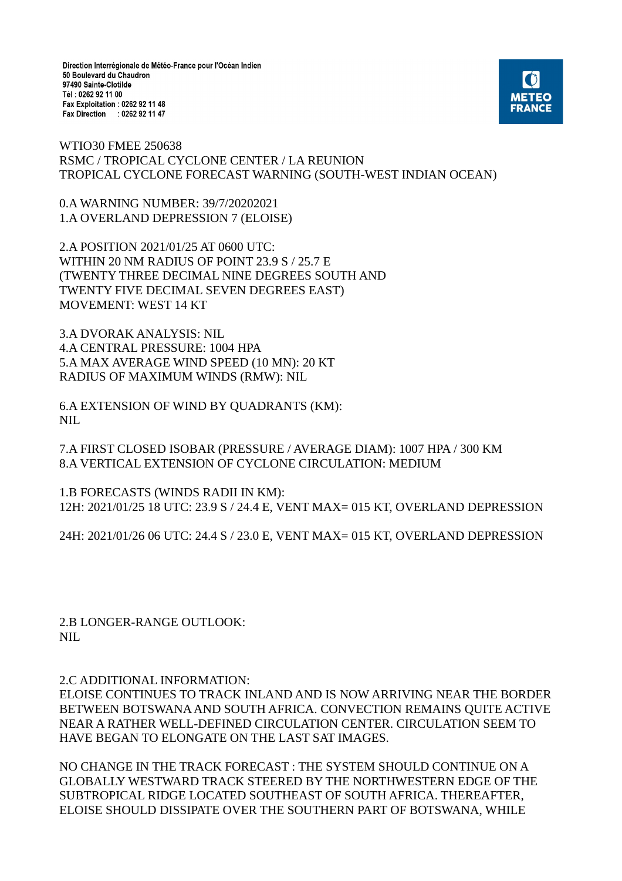Direction Interrégionale de Météo-France pour l'Océan Indien 50 Boulevard du Chaudron 97490 Sainte-Clotilde Tél: 0262 92 11 00 Fax Exploitation : 0262 92 11 48 Fax Direction : 0262 92 11 47



WTIO30 FMEE 250638 RSMC / TROPICAL CYCLONE CENTER / LA REUNION TROPICAL CYCLONE FORECAST WARNING (SOUTH-WEST INDIAN OCEAN)

0.A WARNING NUMBER: 39/7/20202021 1.A OVERLAND DEPRESSION 7 (ELOISE)

2.A POSITION 2021/01/25 AT 0600 UTC: WITHIN 20 NM RADIUS OF POINT 23.9 S / 25.7 E (TWENTY THREE DECIMAL NINE DEGREES SOUTH AND TWENTY FIVE DECIMAL SEVEN DEGREES EAST) MOVEMENT: WEST 14 KT

3.A DVORAK ANALYSIS: NIL 4.A CENTRAL PRESSURE: 1004 HPA 5.A MAX AVERAGE WIND SPEED (10 MN): 20 KT RADIUS OF MAXIMUM WINDS (RMW): NIL

6.A EXTENSION OF WIND BY QUADRANTS (KM): NIL.

7.A FIRST CLOSED ISOBAR (PRESSURE / AVERAGE DIAM): 1007 HPA / 300 KM 8.A VERTICAL EXTENSION OF CYCLONE CIRCULATION: MEDIUM

1.B FORECASTS (WINDS RADII IN KM): 12H: 2021/01/25 18 UTC: 23.9 S / 24.4 E, VENT MAX= 015 KT, OVERLAND DEPRESSION

24H: 2021/01/26 06 UTC: 24.4 S / 23.0 E, VENT MAX= 015 KT, OVERLAND DEPRESSION

2.B LONGER-RANGE OUTLOOK: NIL

2.C ADDITIONAL INFORMATION:

ELOISE CONTINUES TO TRACK INLAND AND IS NOW ARRIVING NEAR THE BORDER BETWEEN BOTSWANA AND SOUTH AFRICA. CONVECTION REMAINS QUITE ACTIVE NEAR A RATHER WELL-DEFINED CIRCULATION CENTER. CIRCULATION SEEM TO HAVE BEGAN TO ELONGATE ON THE LAST SAT IMAGES.

NO CHANGE IN THE TRACK FORECAST : THE SYSTEM SHOULD CONTINUE ON A GLOBALLY WESTWARD TRACK STEERED BY THE NORTHWESTERN EDGE OF THE SUBTROPICAL RIDGE LOCATED SOUTHEAST OF SOUTH AFRICA. THEREAFTER, ELOISE SHOULD DISSIPATE OVER THE SOUTHERN PART OF BOTSWANA, WHILE